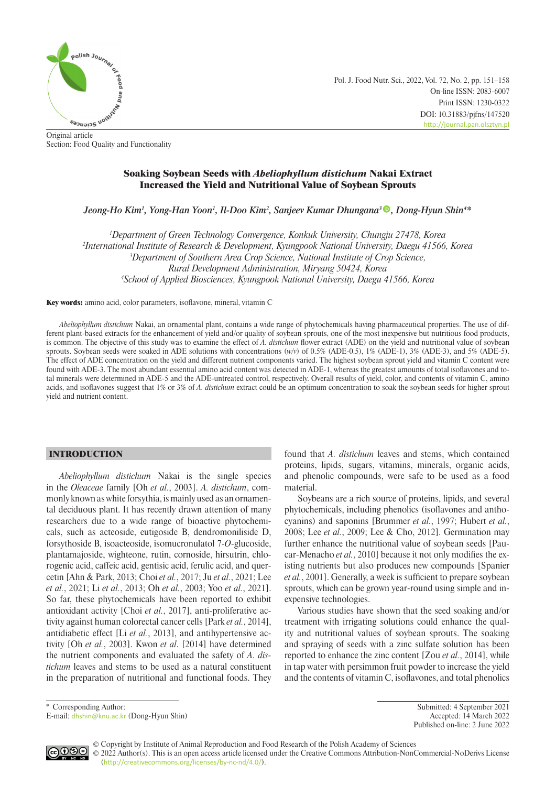

Pol. J. Food Nutr. Sci., 2022, Vol. 72, No. 2, pp. 151–158 On-line ISSN: 2083-6007 Print ISSN: 1230-0322 DOI: 10.31883/pjfns/147520 <http://journal.pan.olsztyn.pl>

Original article Section: Food Quality and Functionality

# Soaking Soybean Seeds with *Abeliophyllum distichum* Nakai Extract Increased the Yield and Nutritional Value of Soybean Sprouts

*Jeong-Ho Kim1 , Yong-Han Yoon1 , Il-Doo Kim2 , Sanjeev Kumar Dhungana[3](https://orcid.org/0000-0002-2495-9078) , Dong-Hyun Shin4 \**

 *Department of Green Technology Convergence, Konkuk University, Chungju 27478, Korea International Institute of Research & Development, Kyungpook National University, Daegu 41566, Korea Department of Southern Area Crop Science, National Institute of Crop Science, Rural Development Administration, Miryang 50424, Korea School of Applied Biosciences, Kyungpook National University, Daegu 41566, Korea*

Key words: amino acid, color parameters, isoflavone, mineral, vitamin C

*Abeliophyllum distichum* Nakai, an ornamental plant, contains a wide range of phytochemicals having pharmaceutical properties. The use of different plant-based extracts for the enhancement of yield and/or quality of soybean sprouts, one of the most inexpensive but nutritious food products, is common. The objective of this study was to examine the effect of *A. distichum* flower extract (ADE) on the yield and nutritional value of soybean sprouts. Soybean seeds were soaked in ADE solutions with concentrations (*w/v*) of 0.5% (ADE-0.5), 1% (ADE-1), 3% (ADE-3), and 5% (ADE-5). The effect of ADE concentration on the yield and different nutrient components varied. The highest soybean sprout yield and vitamin C content were found with ADE-3. The most abundant essential amino acid content was detected in ADE-1, whereas the greatest amounts of total isoflavones and total minerals were determined in ADE-5 and the ADE-untreated control, respectively. Overall results of yield, color, and contents of vitamin C, amino acids, and isoflavones suggest that 1% or 3% of *A. distichum* extract could be an optimum concentration to soak the soybean seeds for higher sprout yield and nutrient content.

## INTRODUCTION

*Abeliophyllum distichum* Nakai is the single species in the *Oleaceae* family [Oh *et al.*, 2003]. *A. distichum*, commonly known as white forsythia, is mainly used as an ornamental deciduous plant. It has recently drawn attention of many researchers due to a wide range of bioactive phytochemicals, such as acteoside, eutigoside B, dendromoniliside D, forsythoside B, isoacteoside, isomucronulatol 7-*O*-glucoside, plantamajoside, wighteone, rutin, cornoside, hirsutrin, chlorogenic acid, caffeic acid, gentisic acid, ferulic acid, and quercetin [Ahn & Park, 2013; Choi *et al.*, 2017; Ju *et al.*, 2021; Lee *et al.*, 2021; Li *et al.*, 2013; Oh *et al.*, 2003; Yoo *et al.*, 2021]. So far, these phytochemicals have been reported to exhibit antioxidant activity [Choi *et al.*, 2017], anti-proliferative activity against human colorectal cancer cells [Park *et al.*, 2014], antidiabetic effect [Li *et al.*, 2013], and antihypertensive activity [Oh *et al.*, 2003]. Kwon *et al*. [2014] have determined the nutrient components and evaluated the safety of *A. distichum* leaves and stems to be used as a natural constituent in the preparation of nutritional and functional foods. They found that *A. distichum* leaves and stems, which contained proteins, lipids, sugars, vitamins, minerals, organic acids, and phenolic compounds, were safe to be used as a food material.

Soybeans are a rich source of proteins, lipids, and several phytochemicals, including phenolics (isoflavones and anthocyanins) and saponins [Brummer *et al.*, 1997; Hubert *et al.*, 2008; Lee *et al.*, 2009; Lee & Cho, 2012]. Germination may further enhance the nutritional value of soybean seeds [Paucar-Menacho *et al.*, 2010] because it not only modifies the existing nutrients but also produces new compounds [Spanier *et al.*, 2001]. Generally, a week is sufficient to prepare soybean sprouts, which can be grown year-round using simple and inexpensive technologies.

Various studies have shown that the seed soaking and/or treatment with irrigating solutions could enhance the quality and nutritional values of soybean sprouts. The soaking and spraying of seeds with a zinc sulfate solution has been reported to enhance the zinc content [Zou *et al.*, 2014], while in tap water with persimmon fruit powder to increase the yield and the contents of vitamin C, isoflavones, and total phenolics

Expeding Author: Submitted: 4 September 2021<br>
Submitted: 4 September 2021<br>
Accepted: 14 March 2022 Published on-line: 2 June 2022



© Copyright by Institute of Animal Reproduction and Food Research of the Polish Academy of Sciences © 2022 Author(s). This is an open access article licensed under the Creative Commons Attribution-NonCommercial-NoDerivs License ([http://creativecommons.org/licenses/by-nc-nd/4.0/](http://creativecommons.org/licenses/by-nc-nd/3.0/)).

E-mail: [dhshin@knu.ac.kr](mailto:dhshin%40knu.ac.kr?subject=) (Dong-Hyun Shin)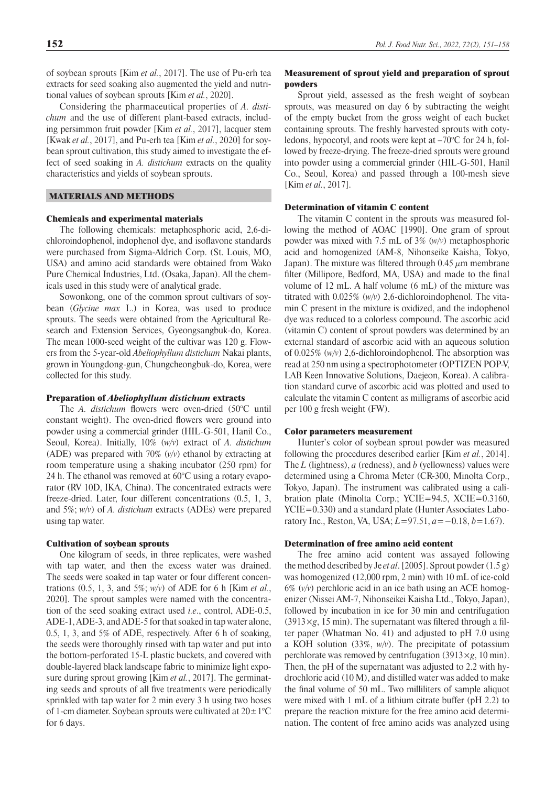of soybean sprouts [Kim *et al.*, 2017]. The use of Pu-erh tea extracts for seed soaking also augmented the yield and nutritional values of soybean sprouts [Kim *et al.*, 2020].

Considering the pharmaceutical properties of *A. distichum* and the use of different plant-based extracts, including persimmon fruit powder [Kim *et al.*, 2017], lacquer stem [Kwak *et al.*, 2017], and Pu-erh tea [Kim *et al.*, 2020] for soybean sprout cultivation, this study aimed to investigate the effect of seed soaking in *A. distichum* extracts on the quality characteristics and yields of soybean sprouts.

## MATERIALS AND METHODS

### Chemicals and experimental materials

The following chemicals: metaphosphoric acid, 2,6-dichloroindophenol, indophenol dye, and isoflavone standards were purchased from Sigma-Aldrich Corp. (St. Louis, MO, USA) and amino acid standards were obtained from Wako Pure Chemical Industries, Ltd. (Osaka, Japan). All the chemicals used in this study were of analytical grade.

Sowonkong, one of the common sprout cultivars of soybean (*Glycine max* L.) in Korea, was used to produce sprouts. The seeds were obtained from the Agricultural Research and Extension Services, Gyeongsangbuk-do, Korea. The mean 1000-seed weight of the cultivar was 120 g. Flowers from the 5-year-old *Abeliophyllum distichum* Nakai plants, grown in Youngdong-gun, Chungcheongbuk-do, Korea, were collected for this study.

#### Preparation of *Abeliophyllum distichum* extracts

The *A. distichum* flowers were oven-dried (50°C until constant weight). The oven-dried flowers were ground into powder using a commercial grinder (HIL-G-501, Hanil Co., Seoul, Korea). Initially, 10% (*w/v*) extract of *A. distichum* (ADE) was prepared with 70% (*v/v*) ethanol by extracting at room temperature using a shaking incubator (250 rpm) for 24 h. The ethanol was removed at 60°C using a rotary evaporator (RV 10D, IKA, China). The concentrated extracts were freeze-dried. Later, four different concentrations (0.5, 1, 3, and 5%; *w/v*) of *A. distichum* extracts (ADEs) were prepared using tap water.

#### Cultivation of soybean sprouts

One kilogram of seeds, in three replicates, were washed with tap water, and then the excess water was drained. The seeds were soaked in tap water or four different concentrations (0.5, 1, 3, and 5%; *w/v*) of ADE for 6 h [Kim *et al.*, 2020]. The sprout samples were named with the concentration of the seed soaking extract used *i.e*., control, ADE-0.5, ADE-1, ADE-3, and ADE-5 for that soaked in tap water alone, 0.5, 1, 3, and 5% of ADE, respectively. After 6 h of soaking, the seeds were thoroughly rinsed with tap water and put into the bottom-perforated 15-L plastic buckets, and covered with double-layered black landscape fabric to minimize light exposure during sprout growing [Kim *et al.*, 2017]. The germinating seeds and sprouts of all five treatments were periodically sprinkled with tap water for 2 min every 3 h using two hoses of 1-cm diameter. Soybean sprouts were cultivated at  $20 \pm 1^{\circ}$ C for 6 days.

## Measurement of sprout yield and preparation of sprout powders

Sprout yield, assessed as the fresh weight of soybean sprouts, was measured on day 6 by subtracting the weight of the empty bucket from the gross weight of each bucket containing sprouts. The freshly harvested sprouts with cotyledons, hypocotyl, and roots were kept at –70°C for 24 h, followed by freeze-drying. The freeze-dried sprouts were ground into powder using a commercial grinder (HIL-G-501, Hanil Co., Seoul, Korea) and passed through a 100-mesh sieve [Kim *et al.*, 2017].

### Determination of vitamin C content

The vitamin C content in the sprouts was measured following the method of AOAC [1990]. One gram of sprout powder was mixed with 7.5 mL of 3% (*w/v*) metaphosphoric acid and homogenized (AM-8, Nihonseike Kaisha, Tokyo, Japan). The mixture was filtered through 0.45  $\mu$ m membrane filter (Millipore, Bedford, MA, USA) and made to the final volume of 12 mL. A half volume (6 mL) of the mixture was titrated with 0.025% (*w/v*) 2,6-dichloroindophenol. The vitamin C present in the mixture is oxidized, and the indophenol dye was reduced to a colorless compound. The ascorbic acid (vitamin C) content of sprout powders was determined by an external standard of ascorbic acid with an aqueous solution of 0.025% (*w/v*) 2,6-dichloroindophenol. The absorption was read at 250 nm using a spectrophotometer (OPTIZEN POP-V, LAB Keen Innovative Solutions, Daejeon, Korea). A calibration standard curve of ascorbic acid was plotted and used to calculate the vitamin C content as milligrams of ascorbic acid per 100 g fresh weight (FW).

#### Color parameters measurement

Hunter's color of soybean sprout powder was measured following the procedures described earlier [Kim *et al.*, 2014]. The *L* (lightness), *a* (redness), and *b* (yellowness) values were determined using a Chroma Meter (CR-300, Minolta Corp., Tokyo, Japan). The instrument was calibrated using a calibration plate (Minolta Corp.; YCIE=94.5, XCIE=0.3160, YCIE=0.330) and a standard plate (Hunter Associates Laboratory Inc., Reston, VA, USA; *L*=97.51, *a*=−0.18, *b*=1.67).

#### Determination of free amino acid content

The free amino acid content was assayed following the method described by Je *et al*. [2005]. Sprout powder (1.5 g) was homogenized (12,000 rpm, 2 min) with 10 mL of ice-cold 6% (*v/v*) perchloric acid in an ice bath using an ACE homogenizer (Nissei AM-7, Nihonseikei Kaisha Ltd., Tokyo, Japan), followed by incubation in ice for 30 min and centrifugation (3913×*g*, 15 min). The supernatant was filtered through a filter paper (Whatman No. 41) and adjusted to pH 7.0 using a KOH solution (33%, *w/v*). The precipitate of potassium perchlorate was removed by centrifugation (3913×*g*, 10 min). Then, the pH of the supernatant was adjusted to 2.2 with hydrochloric acid (10 M), and distilled water was added to make the final volume of 50 mL. Two milliliters of sample aliquot were mixed with 1 mL of a lithium citrate buffer (pH 2.2) to prepare the reaction mixture for the free amino acid determination. The content of free amino acids was analyzed using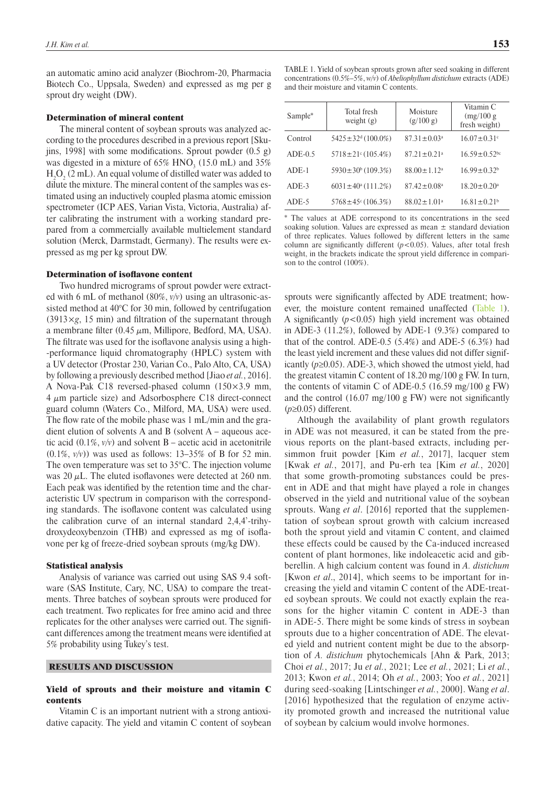an automatic amino acid analyzer (Biochrom-20, Pharmacia Biotech Co., Uppsala, Sweden) and expressed as mg per g sprout dry weight (DW).

#### Determination of mineral content

The mineral content of soybean sprouts was analyzed according to the procedures described in a previous report [Skujins, 1998] with some modifications. Sprout powder  $(0.5 \text{ g})$ was digested in a mixture of  $65\%$  HNO<sub>3</sub> (15.0 mL) and  $35\%$  $\rm H_2O_2$  (2 mL). An equal volume of distilled water was added to dilute the mixture. The mineral content of the samples was estimated using an inductively coupled plasma atomic emission spectrometer (ICP AES, Varian Vista, Victoria, Australia) after calibrating the instrument with a working standard prepared from a commercially available multielement standard solution (Merck, Darmstadt, Germany). The results were expressed as mg per kg sprout DW.

#### Determination of isoflavone content

Two hundred micrograms of sprout powder were extracted with 6 mL of methanol (80%, *v/v*) using an ultrasonic-assisted method at 40°C for 30 min, followed by centrifugation (3913×*g*, 15 min) and filtration of the supernatant through a membrane filter  $(0.45 \mu m,$  Millipore, Bedford, MA, USA). The filtrate was used for the isoflavone analysis using a high- -performance liquid chromatography (HPLC) system with a UV detector (Prostar 230, Varian Co., Palo Alto, CA, USA) by following a previously described method [Jiao *et al.*, 2016]. A Nova-Pak C18 reversed-phased column (150×3.9 mm,  $4 \mu m$  particle size) and Adsorbosphere C18 direct-connect guard column (Waters Co., Milford, MA, USA) were used. The flow rate of the mobile phase was 1 mL/min and the gradient elution of solvents A and B (solvent A – aqueous acetic acid  $(0.1\%, v/v)$  and solvent B – acetic acid in acetonitrile (0.1%, *v/v*)) was used as follows: 13–35% of B for 52 min. The oven temperature was set to 35°C. The injection volume was 20  $\mu$ L. The eluted isoflavones were detected at 260 nm. Each peak was identified by the retention time and the characteristic UV spectrum in comparison with the corresponding standards. The isoflavone content was calculated using the calibration curve of an internal standard 2,4,4'-trihydroxydeoxybenzoin (THB) and expressed as mg of isoflavone per kg of freeze-dried soybean sprouts (mg/kg DW).

### Statistical analysis

Analysis of variance was carried out using SAS 9.4 software (SAS Institute, Cary, NC, USA) to compare the treatments. Three batches of soybean sprouts were produced for each treatment. Two replicates for free amino acid and three replicates for the other analyses were carried out. The significant differences among the treatment means were identified at 5% probability using Tukey's test.

#### RESULTS AND DISCUSSION

## Yield of sprouts and their moisture and vitamin C contents

Vitamin C is an important nutrient with a strong antioxidative capacity. The yield and vitamin C content of soybean TABLE 1. Yield of soybean sprouts grown after seed soaking in different concentrations (0.5%–5%, *w/v*) of *Abeliophyllum distichum* extracts (ADE) and their moisture and vitamin C contents.

| Sample*   | Total fresh<br>weight $(g)$            | Moisture<br>(g/100 g)         | Vitamin C<br>$\left(\frac{mg}{100}g\right)$<br>fresh weight) |  |
|-----------|----------------------------------------|-------------------------------|--------------------------------------------------------------|--|
| Control   | $5425 \pm 32$ <sup>d</sup> $(100.0\%)$ | $87.31 \pm 0.03$ <sup>a</sup> | $16.07 \pm 0.31$ °                                           |  |
| $ADE-0.5$ | $5718 \pm 21$ ° (105.4%)               | $87.21 \pm 0.21$ <sup>a</sup> | $16.59 \pm 0.52$ <sup>bc</sup>                               |  |
| $ADE-1$   | $5930 \pm 30^b (109.3\%)$              | $88.00 \pm 1.12$ <sup>a</sup> | $16.99 \pm 0.32$ <sup>b</sup>                                |  |
| $ADE-3$   | $6031 \pm 40$ <sup>a</sup> (111.2%)    | $87.42 \pm 0.08$ <sup>a</sup> | $18.20 \pm 0.20$ <sup>a</sup>                                |  |
| $ADE-5$   | $5768 \pm 45$ ° (106.3%)               | $88.02 \pm 1.01$ <sup>a</sup> | $16.81 \pm 0.21^b$                                           |  |

\* The values at ADE correspond to its concentrations in the seed soaking solution. Values are expressed as mean  $\pm$  standard deviation of three replicates. Values followed by different letters in the same column are significantly different  $(p<0.05)$ . Values, after total fresh weight, in the brackets indicate the sprout yield difference in comparison to the control (100%).

sprouts were significantly affected by ADE treatment; however, the moisture content remained unaffected (Table 1). A significantly  $(p<0.05)$  high yield increment was obtained in ADE-3 (11.2%), followed by ADE-1 (9.3%) compared to that of the control. ADE-0.5  $(5.4%)$  and ADE-5  $(6.3%)$  had the least yield increment and these values did not differ significantly (*p*≥0.05). ADE-3, which showed the utmost yield, had the greatest vitamin C content of 18.20 mg/100 g FW. In turn, the contents of vitamin C of ADE-0.5 (16.59 mg/100 g FW) and the control (16.07 mg/100 g FW) were not significantly (*p*≥0.05) different.

Although the availability of plant growth regulators in ADE was not measured, it can be stated from the previous reports on the plant-based extracts, including persimmon fruit powder [Kim *et al.*, 2017], lacquer stem [Kwak *et al.*, 2017], and Pu-erh tea [Kim *et al.*, 2020] that some growth-promoting substances could be present in ADE and that might have played a role in changes observed in the yield and nutritional value of the soybean sprouts. Wang *et al*. [2016] reported that the supplementation of soybean sprout growth with calcium increased both the sprout yield and vitamin C content, and claimed these effects could be caused by the Ca-induced increased content of plant hormones, like indoleacetic acid and gibberellin. A high calcium content was found in *A. distichum* [Kwon *et al*., 2014], which seems to be important for increasing the yield and vitamin C content of the ADE-treated soybean sprouts. We could not exactly explain the reasons for the higher vitamin C content in ADE-3 than in ADE-5. There might be some kinds of stress in soybean sprouts due to a higher concentration of ADE. The elevated yield and nutrient content might be due to the absorption of *A. distichum* phytochemicals [Ahn & Park, 2013; Choi *et al.*, 2017; Ju *et al.*, 2021; Lee *et al.*, 2021; Li *et al.*, 2013; Kwon *et al.*, 2014; Oh *et al.*, 2003; Yoo *et al.*, 2021] during seed-soaking [Lintschinger *et al.*, 2000]. Wang *et al*. [2016] hypothesized that the regulation of enzyme activity promoted growth and increased the nutritional value of soybean by calcium would involve hormones.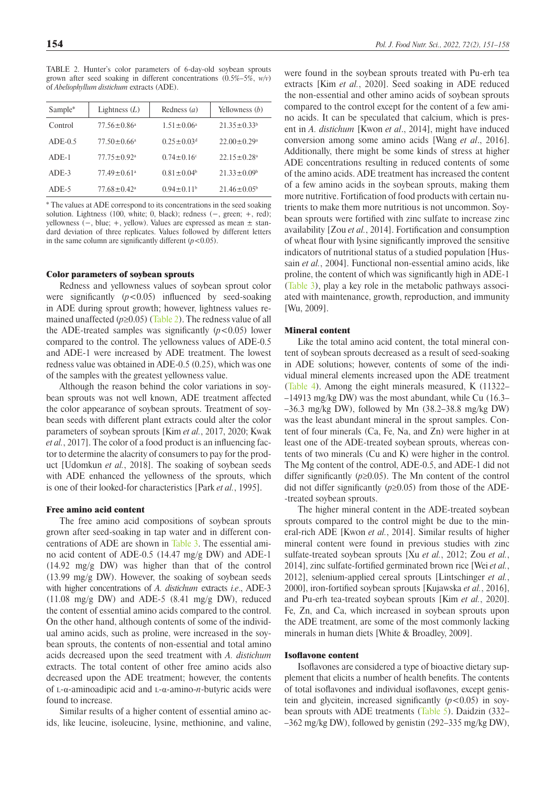TABLE 2. Hunter's color parameters of 6-day-old soybean sprouts grown after seed soaking in different concentrations (0.5%–5%, *w/v*) of *Abeliophyllum distichum* extracts (ADE).

| Sample*   | Lightness $(L)$               | Redness $(a)$                | Yellowness $(b)$              |
|-----------|-------------------------------|------------------------------|-------------------------------|
| Control   | $77.56 \pm 0.86^a$            | $1.51 \pm 0.06^a$            | $21.35 \pm 0.33^b$            |
| $ADE-0.5$ | $77.50 \pm 0.66^{\circ}$      | $0.25 \pm 0.03$ <sup>d</sup> | $22.00 \pm 0.29$ <sup>a</sup> |
| $ADE-1$   | $77.75 \pm 0.92$ <sup>a</sup> | $0.74 \pm 0.16$ °            | $22.15 \pm 0.28$ <sup>a</sup> |
| $ADE-3$   | $77.49 \pm 0.61$ <sup>a</sup> | $0.81 \pm 0.04^b$            | $21.33 \pm 0.09^b$            |
| $ADE-5$   | $77.68 \pm 0.42^a$            | $0.94 \pm 0.11$ <sup>b</sup> | $21.46 \pm 0.05^{\circ}$      |

\* The values at ADE correspond to its concentrations in the seed soaking solution. Lightness (100, white; 0, black); redness (−, green; +, red); yellowness (−, blue; +, yellow). Values are expressed as mean ± standard deviation of three replicates. Values followed by different letters in the same column are significantly different  $(p<0.05)$ .

#### Color parameters of soybean sprouts

Redness and yellowness values of soybean sprout color were significantly  $(p<0.05)$  influenced by seed-soaking in ADE during sprout growth; however, lightness values remained unaffected  $(p \ge 0.05)$  (Table 2). The redness value of all the ADE-treated samples was significantly  $(p<0.05)$  lower compared to the control. The yellowness values of ADE-0.5 and ADE-1 were increased by ADE treatment. The lowest redness value was obtained in ADE-0.5 (0.25), which was one of the samples with the greatest yellowness value.

Although the reason behind the color variations in soybean sprouts was not well known, ADE treatment affected the color appearance of soybean sprouts. Treatment of soybean seeds with different plant extracts could alter the color parameters of soybean sprouts [Kim *et al.*, 2017, 2020; Kwak *et al.*, 2017]. The color of a food product is an influencing factor to determine the alacrity of consumers to pay for the product [Udomkun et al., 2018]. The soaking of soybean seeds with ADE enhanced the vellowness of the sprouts, which is one of their looked-for characteristics [Park *et al.*, 1995].

#### Free amino acid content

The free amino acid compositions of soybean sprouts grown after seed-soaking in tap water and in different concentrations of ADE are shown in Table 3. The essential amino acid content of ADE-0.5 (14.47 mg/g DW) and ADE-1 (14.92 mg/g DW) was higher than that of the control (13.99 mg/g DW). However, the soaking of soybean seeds with higher concentrations of *A. distichum* extracts *i.e*., ADE-3  $(11.08 \text{ mg/g } DW)$  and ADE-5  $(8.41 \text{ mg/g } DW)$ , reduced the content of essential amino acids compared to the control. On the other hand, although contents of some of the individual amino acids, such as proline, were increased in the soybean sprouts, the contents of non-essential and total amino acids decreased upon the seed treatment with *A. distichum* extracts. The total content of other free amino acids also decreased upon the ADE treatment; however, the contents of l-α-aminoadipic acid and l-α-amino-*n*-butyric acids were found to increase.

Similar results of a higher content of essential amino acids, like leucine, isoleucine, lysine, methionine, and valine, were found in the soybean sprouts treated with Pu-erh tea extracts [Kim *et al.*, 2020]. Seed soaking in ADE reduced the non-essential and other amino acids of soybean sprouts compared to the control except for the content of a few amino acids. It can be speculated that calcium, which is present in *A. distichum* [Kwon *et al*., 2014], might have induced conversion among some amino acids [Wang *et al*., 2016]. Additionally, there might be some kinds of stress at higher ADE concentrations resulting in reduced contents of some of the amino acids. ADE treatment has increased the content of a few amino acids in the soybean sprouts, making them more nutritive. Fortification of food products with certain nutrients to make them more nutritious is not uncommon. Soybean sprouts were fortified with zinc sulfate to increase zinc availability [Zou *et al.*, 2014]. Fortification and consumption of wheat flour with lysine significantly improved the sensitive indicators of nutritional status of a studied population [Hussain *et al.*, 2004]. Functional non-essential amino acids, like proline, the content of which was significantly high in ADE-1 (Table 3), play a key role in the metabolic pathways associated with maintenance, growth, reproduction, and immunity [Wu, 2009].

### Mineral content

Like the total amino acid content, the total mineral content of soybean sprouts decreased as a result of seed-soaking in ADE solutions; however, contents of some of the individual mineral elements increased upon the ADE treatment (Table 4). Among the eight minerals measured, K (11322– –14913 mg/kg DW) was the most abundant, while Cu (16.3– –36.3 mg/kg DW), followed by Mn (38.2–38.8 mg/kg DW) was the least abundant mineral in the sprout samples. Content of four minerals (Ca, Fe, Na, and Zn) were higher in at least one of the ADE-treated soybean sprouts, whereas contents of two minerals (Cu and K) were higher in the control. The Mg content of the control, ADE-0.5, and ADE-1 did not differ significantly (*p*≥0.05). The Mn content of the control did not differ significantly (*p*≥0.05) from those of the ADE- -treated soybean sprouts.

The higher mineral content in the ADE-treated soybean sprouts compared to the control might be due to the mineral-rich ADE [Kwon *et al.*, 2014]. Similar results of higher mineral content were found in previous studies with zinc sulfate-treated soybean sprouts [Xu *et al.*, 2012; Zou *et al.*, 2014], zinc sulfate-fortified germinated brown rice [Wei *et al.*, 2012], selenium-applied cereal sprouts [Lintschinger *et al.*, 2000], iron-fortified soybean sprouts [Kujawska *et al.*, 2016], and Pu-erh tea-treated soybean sprouts [Kim *et al.*, 2020]. Fe, Zn, and Ca, which increased in soybean sprouts upon the ADE treatment, are some of the most commonly lacking minerals in human diets [White & Broadley, 2009].

## Isoflavone content

Isoflavones are considered a type of bioactive dietary supplement that elicits a number of health benefits. The contents of total isoflavones and individual isoflavones, except genistein and glycitein, increased significantly  $(p<0.05)$  in soybean sprouts with ADE treatments (Table 5). Daidzin (332– –362 mg/kg DW), followed by genistin (292–335 mg/kg DW),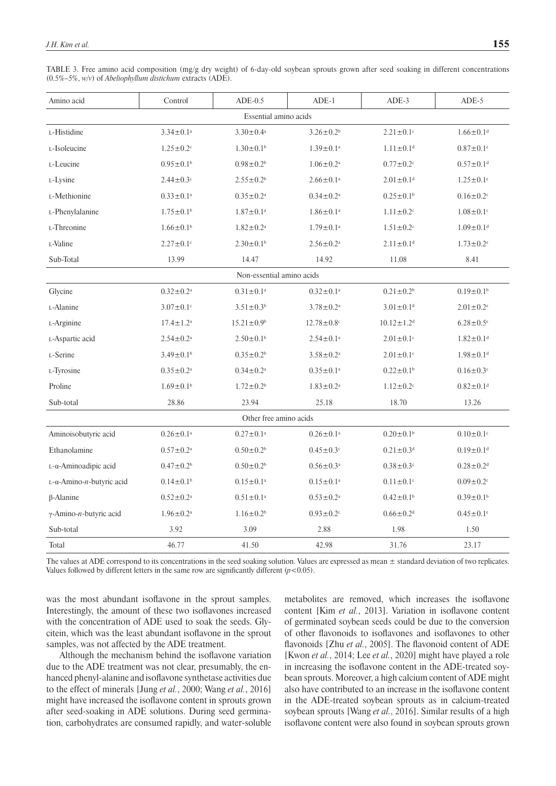TABLE 3. Free amino acid composition (mg/g dry weight) of 6-day-old soybean sprouts grown after seed soaking in different concentrations (0.5%–5%, *w/v*) of *Abeliophyllum distichum* extracts (ADE).

| Amino acid                        | Control                     | $ADE-0.5$                    | $ADE-1$                     | $ADE-3$                      | $ADE-5$                     |  |  |
|-----------------------------------|-----------------------------|------------------------------|-----------------------------|------------------------------|-----------------------------|--|--|
| Essential amino acids             |                             |                              |                             |                              |                             |  |  |
| L-Histidine                       | $3.34 \pm 0.1^a$            | $3.30 \pm 0.4^a$             | $3.26 \pm 0.2^b$            | $2.21 \pm 0.1$ c             | $1.66 \pm 0.1$ <sup>d</sup> |  |  |
| L-Isoleucine                      | $1.25 \pm 0.2$ <sup>c</sup> | $1.30 \pm 0.1^b$             | $1.39 \pm 0.1^a$            | $1.11 \pm 0.1$ <sup>d</sup>  | $0.87 \pm 0.1$ <sup>e</sup> |  |  |
| L-Leucine                         | $0.95 \pm 0.1$ <sup>b</sup> | $0.98 \pm 0.2$ <sup>b</sup>  | $1.06 \pm 0.2$ <sup>a</sup> | $0.77 \pm 0.2$ <sup>c</sup>  | $0.57 \pm 0.1$ <sup>d</sup> |  |  |
| L-Lysine                          | $2.44 \pm 0.3$ <sup>c</sup> | $2.55 \pm 0.2^b$             | $2.66 \pm 0.1$ <sup>a</sup> | $2.01 \pm 0.1$ <sup>d</sup>  | $1.25 \pm 0.1$ <sup>e</sup> |  |  |
| L-Methionine                      | $0.33 \pm 0.1$ <sup>a</sup> | $0.35 \pm 0.2^a$             | $0.34 \pm 0.2^a$            | $0.25 \pm 0.1$ <sup>b</sup>  | $0.16 \pm 0.2$              |  |  |
| L-Phenylalanine                   | $1.75 \pm 0.1$ <sup>b</sup> | $1.87 \pm 0.1^a$             | $1.86 \pm 0.1^a$            | $1.11 \pm 0.2$ <sup>c</sup>  | $1.08 \pm 0.1$ <sup>c</sup> |  |  |
| L-Threonine                       | $1.66 \pm 0.1^b$            | $1.82 \pm 0.2^a$             | $1.79 \pm 0.1^a$            | $1.51 \pm 0.2$ <sup>c</sup>  | $1.09 \pm 0.1$ <sup>d</sup> |  |  |
| L-Valine                          | $2.27 \pm 0.1$ °            | $2.30 \pm 0.1$ <sup>b</sup>  | $2.56 \pm 0.2$ <sup>a</sup> | $2.11 \pm 0.1$ <sup>d</sup>  | $1.73 \pm 0.2$ <sup>e</sup> |  |  |
| Sub-Total                         | 13.99                       | 14.47                        | 14.92                       | 11.08                        | 8.41                        |  |  |
|                                   |                             | Non-essential amino acids    |                             |                              |                             |  |  |
| Glycine                           | $0.32 \pm 0.2^{\rm a}$      | $0.31 \pm 0.1^a$             | $0.32 \pm 0.1^a$            | $0.21 \pm 0.2$ <sup>b</sup>  | $0.19 \pm 0.1$ <sup>b</sup> |  |  |
| L-Alanine                         | $3.07 \pm 0.1$ °            | $3.51 \pm 0.3^b$             | $3.78 \pm 0.2^a$            | $3.01 \pm 0.1$ <sup>d</sup>  | $2.01 \pm 0.2$ <sup>e</sup> |  |  |
| L-Arginine                        | $17.4 \pm 1.2^a$            | $15.21 \pm 0.9$ <sup>b</sup> | $12.78 \pm 0.8$ c           | $10.12 \pm 1.2$ <sup>d</sup> | $6.28 \pm 0.5$ <sup>e</sup> |  |  |
| L-Aspartic acid                   | $2.54 \pm 0.2^a$            | $2.50 \pm 0.1$ <sup>b</sup>  | $2.54 \pm 0.1$ <sup>a</sup> | $2.01 \pm 0.1$ <sup>c</sup>  | $1.82 \pm 0.1$ <sup>d</sup> |  |  |
| L-Serine                          | $3.49 \pm 0.1^b$            | $0.35 \pm 0.2^b$             | $3.58 \pm 0.2^a$            | $2.01 \pm 0.1^{\circ}$       | $1.98 \pm 0.1$ <sup>d</sup> |  |  |
| L-Tyrosine                        | $0.35 \pm 0.2$ <sup>a</sup> | $0.34 \pm 0.2^a$             | $0.35 \pm 0.1^{\text{a}}$   | $0.22 \pm 0.1$ <sup>b</sup>  | $0.16 \pm 0.3$ <sup>c</sup> |  |  |
| Proline                           | $1.69 \pm 0.1$ <sup>b</sup> | $1.72 \pm 0.2$ <sup>b</sup>  | $1.83 \pm 0.2$ <sup>a</sup> | $1.12 \pm 0.2$ <sup>c</sup>  | $0.82 \pm 0.1$ <sup>d</sup> |  |  |
| Sub-total                         | 28.86                       | 23.94                        | 25.18                       | 18.70                        | 13.26                       |  |  |
| Other free amino acids            |                             |                              |                             |                              |                             |  |  |
| Aminoisobutyric acid              | $0.26 \pm 0.1^a$            | $0.27 \pm 0.1^a$             | $0.26 \pm 0.1^a$            | $0.20\pm0.1^{\rm b}$         | $0.10 \pm 0.1$ <sup>c</sup> |  |  |
| Ethanolamine                      | $0.57 \pm 0.2^a$            | $0.50 \pm 0.2$ <sup>b</sup>  | $0.45 \pm 0.3$ °            | $0.21 \pm 0.3$ <sup>d</sup>  | $0.19 \pm 0.1$ <sup>d</sup> |  |  |
| ι-α-Aminoadipic acid              | $0.47 \pm 0.2^b$            | $0.50 \pm 0.2$ <sup>b</sup>  | $0.56 \pm 0.3^{\text{a}}$   | $0.38 \pm 0.3$ °             | $0.28 \pm 0.2$ <sup>d</sup> |  |  |
| ι-α-Amino- <i>n</i> -butyric acid | $0.14 \pm 0.1$ <sup>b</sup> | $0.15 \pm 0.1^a$             | $0.15 \pm 0.1^a$            | $0.11 \pm 0.1$ <sup>c</sup>  | $0.09 \pm 0.2$ <sup>c</sup> |  |  |
| $\beta$ -Alanine                  | $0.52 \pm 0.2^a$            | $0.51 \pm 0.1$ <sup>a</sup>  | $0.53 \pm 0.2^{\text{a}}$   | $0.42 \pm 0.1$ <sup>b</sup>  | $0.39 \pm 0.1$ <sup>b</sup> |  |  |
| $\gamma$ -Amino-n-butyric acid    | $1.96 \pm 0.2^a$            | $1.16 \pm 0.2$ <sup>b</sup>  | $0.93 \pm 0.2$ <sup>c</sup> | $0.66 \pm 0.2$ <sup>d</sup>  | $0.45 \pm 0.1$ <sup>e</sup> |  |  |
| Sub-total                         | 3.92                        | 3.09                         | 2.88                        | 1.98                         | 1.50                        |  |  |
| Total                             | 46.77                       | 41.50                        | 42.98                       | 31.76                        | 23.17                       |  |  |

The values at ADE correspond to its concentrations in the seed soaking solution. Values are expressed as mean  $\pm$  standard deviation of two replicates. Values followed by different letters in the same row are significantly different  $(p<0.05)$ .

was the most abundant isoflavone in the sprout samples. Interestingly, the amount of these two isoflavones increased with the concentration of ADE used to soak the seeds. Glycitein, which was the least abundant isoflavone in the sprout samples, was not affected by the ADE treatment.

Although the mechanism behind the isoflavone variation due to the ADE treatment was not clear, presumably, the enhanced phenyl-alanine and isoflavone synthetase activities due to the effect of minerals [Jung *et al.*, 2000; Wang *et al.*, 2016] might have increased the isoflavone content in sprouts grown after seed-soaking in ADE solutions. During seed germination, carbohydrates are consumed rapidly, and water-soluble metabolites are removed, which increases the isoflavone content [Kim *et al.*, 2013]. Variation in isoflavone content of germinated soybean seeds could be due to the conversion of other flavonoids to isoflavones and isoflavones to other flavonoids [Zhu *et al.*, 2005]. The flavonoid content of ADE [Kwon *et al.*, 2014; Lee *et al.*, 2020] might have played a role in increasing the isoflavone content in the ADE-treated soybean sprouts. Moreover, a high calcium content of ADE might also have contributed to an increase in the isoflavone content in the ADE-treated soybean sprouts as in calcium-treated soybean sprouts [Wang *et al.*, 2016]. Similar results of a high isoflavone content were also found in soybean sprouts grown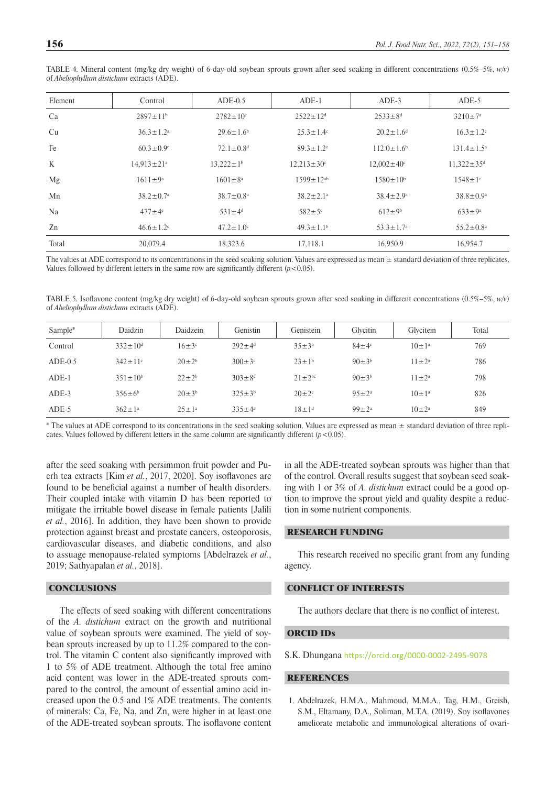| Element  | Control                      | $ADE-0.5$                   | $ADE-1$                    | $ADE-3$                      | $ADE-5$                      |
|----------|------------------------------|-----------------------------|----------------------------|------------------------------|------------------------------|
| Ca       | $2897 \pm 11^{b}$            | $2782 \pm 10^{\circ}$       | $2522 \pm 12$ <sup>d</sup> | $2533 \pm 8$ <sup>d</sup>    | $3210 \pm 7^{\rm a}$         |
| Cu       | $36.3 \pm 1.2^a$             | $29.6 \pm 1.6$ <sup>b</sup> | $25.3 \pm 1.4$ °           | $20.2 \pm 1.6$ <sup>d</sup>  | $16.3 \pm 1.2$ <sup>e</sup>  |
| Fe       | $60.3 \pm 0.9$ <sup>e</sup>  | $72.1 \pm 0.8$ <sup>d</sup> | $89.3 \pm 1.2$             | $112.0 \pm 1.6$ <sup>b</sup> | $131.4 \pm 1.5^a$            |
| $\bf{K}$ | $14.913 \pm 21$ <sup>a</sup> | $13,222 \pm 1^b$            | $12,213 \pm 30^{\circ}$    | $12,002 \pm 40$ <sup>c</sup> | $11,322 \pm 35$ <sup>d</sup> |
| Mg       | $1611 \pm 9^a$               | $1601 \pm 8^a$              | $1599 \pm 12^{ab}$         | $1580 \pm 10^6$              | $1548 \pm 1$ °               |
| Mn       | $38.2 \pm 0.7$ <sup>a</sup>  | $38.7 \pm 0.8^{\text{a}}$   | $38.2 \pm 2.1^a$           | $38.4 \pm 2.9^{\rm a}$       | $38.8 \pm 0.9^{\circ}$       |
| Na       | $477 \pm 4$ <sup>e</sup>     | $531 \pm 4^d$               | $582 \pm 5$ °              | $612 \pm 9^b$                | $633 \pm 9^{\circ}$          |
| Zn       | $46.6 \pm 1.2$ °             | $47.2 \pm 1.0^{\circ}$      | $49.3 \pm 1.1^{\circ}$     | $53.3 \pm 1.7^{\circ}$       | $55.2 \pm 0.8^{\circ}$       |
| Total    | 20,079.4                     | 18,323.6                    | 17.118.1                   | 16.950.9                     | 16.954.7                     |

TABLE 4. Mineral content (mg/kg dry weight) of 6-day-old soybean sprouts grown after seed soaking in different concentrations (0.5%–5%, *w/v*) of *Abeliophyllum distichum* extracts (ADE).

The values at ADE correspond to its concentrations in the seed soaking solution. Values are expressed as mean  $\pm$  standard deviation of three replicates. Values followed by different letters in the same row are significantly different  $(p<0.05)$ .

TABLE 5. Isoflavone content (mg/kg dry weight) of 6-day-old soybean sprouts grown after seed soaking in different concentrations (0.5%–5%, *w/v*) of *Abeliophyllum distichum* extracts (ADE).

| Sample*   | Daidzin              | Daidzein                | Genistin            | Genistein               | Glycitin       | Glycitein             | Total |
|-----------|----------------------|-------------------------|---------------------|-------------------------|----------------|-----------------------|-------|
| Control   | $332 \pm 10^{\circ}$ | $16 \pm 3$ <sup>c</sup> | $292 + 4^d$         | $35 \pm 3^a$            | $84 \pm 4$     | $10 \pm 1^a$          | 769   |
| $ADE-0.5$ | $342 \pm 11$ °       | $20 \pm 2^{b}$          | $300 \pm 3^{\circ}$ | $23 \pm 1^b$            | $90 \pm 3^{b}$ | $11 \pm 2^a$          | 786   |
| $ADE-1$   | $351 \pm 10^{6}$     | $22 \pm 2^b$            | $303 \pm 8^{\circ}$ | $21 \pm 2^{bc}$         | $90 \pm 3^{b}$ | $11 \pm 2^a$          | 798   |
| $ADE-3$   | $356 \pm 6^b$        | $20 \pm 3^{b}$          | $325 \pm 3^b$       | $20 \pm 2^{\circ}$      | $95 \pm 2^a$   | $10 \pm 1^a$          | 826   |
| $ADE-5$   | $362 \pm 1^a$        | $25 \pm 1^a$            | $335 \pm 4^a$       | $18 \pm 1$ <sup>d</sup> | $99 \pm 2^a$   | $10\pm2^{\mathrm{a}}$ | 849   |

\* The values at ADE correspond to its concentrations in the seed soaking solution. Values are expressed as mean ± standard deviation of three replicates. Values followed by different letters in the same column are significantly different  $(p<0.05)$ .

after the seed soaking with persimmon fruit powder and Puerh tea extracts [Kim *et al.*, 2017, 2020]. Soy isoflavones are found to be beneficial against a number of health disorders. Their coupled intake with vitamin D has been reported to mitigate the irritable bowel disease in female patients [Jalili *et al.*, 2016]. In addition, they have been shown to provide protection against breast and prostate cancers, osteoporosis, cardiovascular diseases, and diabetic conditions, and also to assuage menopause-related symptoms [Abdelrazek *et al.*, 2019; Sathyapalan *et al.*, 2018].

# **CONCLUSIONS**

The effects of seed soaking with different concentrations of the *A. distichum* extract on the growth and nutritional value of soybean sprouts were examined. The yield of soybean sprouts increased by up to 11.2% compared to the control. The vitamin C content also significantly improved with 1 to 5% of ADE treatment. Although the total free amino acid content was lower in the ADE-treated sprouts compared to the control, the amount of essential amino acid increased upon the 0.5 and 1% ADE treatments. The contents of minerals: Ca, Fe, Na, and Zn, were higher in at least one of the ADE-treated soybean sprouts. The isoflavone content in all the ADE-treated soybean sprouts was higher than that of the control. Overall results suggest that soybean seed soaking with 1 or 3% of *A. distichum* extract could be a good option to improve the sprout yield and quality despite a reduction in some nutrient components.

### RESEARCH FUNDING

This research received no specific grant from any funding agency.

# CONFLICT OF INTERESTS

The authors declare that there is no conflict of interest.

### ORCID IDs

#### S.K. Dhungana <https://orcid.org/0000-0002-2495-9078>

## **REFERENCES**

1. Abdelrazek, H.M.A., Mahmoud, M.M.A., Tag, H.M., Greish, S.M., Eltamany, D.A., Soliman, M.T.A. (2019). Soy isoflavones ameliorate metabolic and immunological alterations of ovari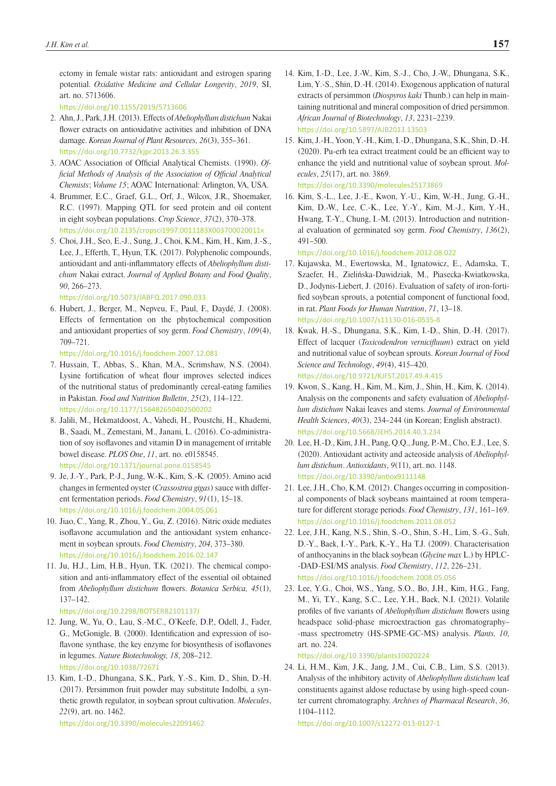ectomy in female wistar rats: antioxidant and estrogen sparing potential. *Oxidative Medicine and Cellular Longevity*, *2019*, SI, art. no. 5713606.

<https://doi.org/10.1155/2019/5713606>

- 2. Ahn, J., Park, J.H. (2013). Effects of *Abeliophyllum distichum* Nakai flower extracts on antioxidative activities and inhibition of DNA damage. *Korean Journal of Plant Resources, 26*(3), 355–361. <https://doi.org/10.7732/kjpr.2013.26.3.355>
- 3. AOAC Association of Official Analytical Chemists. (1990). *Official Methods of Analysis of the Association of Official Analytical Chemists*; *Volume 15*; AOAC International: Arlington, VA, USA.
- 4. Brummer, E.C., Graef, G.L., Orf, J., Wilcox, J.R., Shoemaker, R.C. (1997). Mapping QTL for seed protein and oil content in eight soybean populations. *Crop Science*, *37*(2), 370–378. <https://doi.org/10.2135/cropsci1997.0011183X003700020011x>
- 5. Choi, J.H., Seo, E.-J., Sung, J., Choi, K.M., Kim, H., Kim, J.-S., Lee, J., Efferth, T., Hyun, T.K. (2017). Polyphenolic compounds, antioxidant and anti-inflammatory effects of *Abeliophyllum distichum* Nakai extract. *Journal of Applied Botany and Food Quality*, *90*, 266–273.

<https://doi.org/10.5073/JABFQ.2017.090.033>

6. Hubert, J., Berger, M., Nepveu, F., Paul, F., Daydé, J. (2008). Effects of fermentation on the phytochemical composition and antioxidant properties of soy germ. *Food Chemistry*, *109*(4), 709–721.

<https://doi.org/10.1016/j.foodchem.2007.12.081>

- 7. Hussain, T., Abbas, S., Khan, M.A., Scrimshaw, N.S. (2004). Lysine fortification of wheat flour improves selected indices of the nutritional status of predominantly cereal-eating families in Pakistan. *Food and Nutrition Bulletin*, *25*(2), 114–122. <https://doi.org/10.1177/156482650402500202>
- 8. Jalili, M., Hekmatdoost, A., Vahedi, H., Poustchi, H., Khademi, B., Saadi, M., Zemestani, M., Janani, L. (2016). Co-administration of soy isoflavones and vitamin D in management of irritable bowel disease. *PLOS One*, *11*, art. no. e0158545. <https://doi.org/10.1371/journal.pone.0158545>
- 9. Je, J.-Y., Park, P.-J., Jung, W.-K., Kim, S.-K. (2005). Amino acid changes in fermented oyster (*Crassostrea gigas*) sauce with different fermentation periods. *Food Chemistry*, *91*(1), 15–18. <https://doi.org/10.1016/j.foodchem.2004.05.061>
- 10. Jiao, C., Yang, R., Zhou, Y., Gu, Z. (2016). Nitric oxide mediates isoflavone accumulation and the antioxidant system enhancement in soybean sprouts. *Food Chemistry*, *204*, 373–380. <https://doi.org/10.1016/j.foodchem.2016.02.147>
- 11. Ju, H.J., Lim, H.B., Hyun, T.K. (2021). The chemical composition and anti-inflammatory effect of the essential oil obtained from *Abeliophyllum distichum* flowers. *Botanica Serbica, 45*(1), 137–142.

https://doi.org/10.2298/BOTSERB2101137J

- 12. Jung, W., Yu, O., Lau, S.-M.C., O'Keefe, D.P., Odell, J., Fader, G., McGonigle, B. (2000). Identification and expression of isoflavone synthase, the key enzyme for biosynthesis of isoflavones in legumes. *Nature Biotechnology, 18*, 208–212. <https://doi.org/10.1038/72671>
- 13. Kim, I.-D., Dhungana, S.K., Park, Y.-S., Kim, D., Shin, D.-H. (2017). Persimmon fruit powder may substitute Indolbi, a synthetic growth regulator, in soybean sprout cultivation. *Molecules*, *22*(9), art. no. 1462.

<https://doi.org/10.3390/molecules22091462>

- 14. Kim, I.-D., Lee, J.-W., Kim, S.-J., Cho, J.-W., Dhungana, S.K., Lim, Y.-S., Shin, D.-H. (2014). Exogenous application of natural extracts of persimmon (*Diospyros kaki* Thunb.) can help in maintaining nutritional and mineral composition of dried persimmon. *African Journal of Biotechnology*, *13*, 2231–2239. <https://doi.org/10.5897/AJB2013.13503>
- 15. Kim, J.-H., Yoon, Y.-H., Kim, I.-D., Dhungana, S.K., Shin, D.-H. (2020). Pu-erh tea extract treatment could be an efficient way to enhance the yield and nutritional value of soybean sprout. *Molecules*, *25*(17), art. no. 3869. <https://doi.org/10.3390/molecules25173869>
- 16. Kim, S.-L., Lee, J.-E., Kwon, Y.-U., Kim, W.-H., Jung, G.-H., Kim, D.-W., Lee, C.-K., Lee, Y.-Y., Kim, M.-J., Kim, Y.-H., Hwang, T.-Y., Chung, I.-M. (2013). Introduction and nutritional evaluation of germinated soy germ. *Food Chemistry*, *136*(2), 491–500.

<https://doi.org/10.1016/j.foodchem.2012.08.022>

- 17. Kujawska, M., Ewertowska, M., Ignatowicz, E., Adamska, T., Szaefer, H., Zielińska-Dawidziak, M., Piasecka-Kwiatkowska, D., Jodynis-Liebert, J. (2016). Evaluation of safety of iron-fortified soybean sprouts, a potential component of functional food, in rat. *Plant Foods for Human Nutrition*, *71*, 13–18. <https://doi.org/10.1007/s11130-016-0535-8>
- 18. Kwak, H.-S., Dhungana, S.K., Kim, I.-D., Shin, D.-H. (2017). Effect of lacquer (*Toxicodendron vernicifluum*) extract on yield and nutritional value of soybean sprouts. *Korean Journal of Food Science and Technology*, *49*(4), 415–420. <https://doi.org/10.9721/KJFST.2017.49.4.415>
- 19. Kwon, S., Kang, H., Kim, M., Kim, J., Shin, H., Kim, K. (2014). Analysis on the components and safety evaluation of *Abeliophyllum distichum* Nakai leaves and stems. *Journal of Environmental Health Sciences*, *40*(3), 234–244 (in Korean; English abstract). <https://doi.org/10.5668/JEHS.2014.40.3.234>
- 20. Lee, H.-D., Kim, J.H., Pang, Q.Q., Jung, P.-M., Cho, E.J., Lee, S. (2020). Antioxidant activity and acteoside analysis of *Abeliophyllum distichum*. *Antioxidants*, *9*(11), art. no. 1148. <https://doi.org/10.3390/antiox9111148>
- 21. Lee, J.H., Cho, K.M. (2012). Changes occurring in compositional components of black soybeans maintained at room temperature for different storage periods. *Food Chemistry*, *131*, 161–169. <https://doi.org/10.1016/j.foodchem.2011.08.052>
- 22. Lee, J.H., Kang, N.S., Shin, S.-O., Shin, S.-H., Lim, S.-G., Suh, D.-Y., Baek, I.-Y., Park, K.-Y., Ha T.J. (2009). Characterisation of anthocyanins in the black soybean (*Glycine max* L.) by HPLC- -DAD-ESI/MS analysis. *Food Chemistry*, *112*, 226–231. <https://doi.org/10.1016/j.foodchem.2008.05.056>
- 23. Lee, Y.G., Choi, W.S., Yang, S.O., Bo, J.H., Kim, H.G., Fang, M., Yi, T.Y., Kang, S.C., Lee, Y.H., Baek, N.I. (2021). Volatile profiles of five variants of *Abeliophyllum distichum* flowers using headspace solid-phase microextraction gas chromatography– -mass spectrometry (HS-SPME-GC-MS) analysis. *Plants, 10*, art. no. 224.

<https://doi.org/10.3390/plants10020224>

24. Li, H.M., Kim, J.K., Jang, J.M., Cui, C.B., Lim, S.S. (2013). Analysis of the inhibitory activity of *Abeliophyllum distichum* leaf constituents against aldose reductase by using high-speed counter current chromatography. *Archives of Pharmacal Research*, *36*, 1104–1112.

<https://doi.org/10.1007/s12272-013-0127-1>